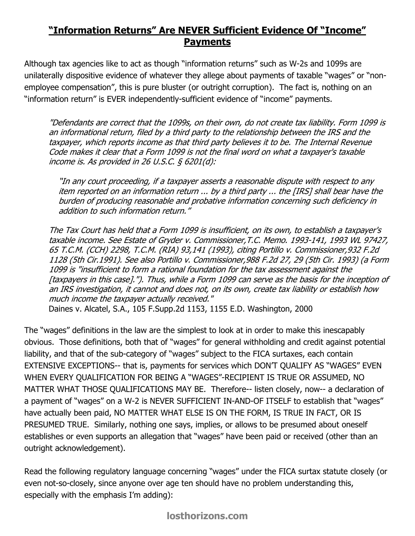## "Information Returns" Are NEVER Sufficient Evidence Of "Income" Payments

Although tax agencies like to act as though "information returns" such as W-2s and 1099s are unilaterally dispositive evidence of whatever they allege about payments of taxable "wages" or "nonemployee compensation", this is pure bluster (or outright corruption). The fact is, nothing on an "information return" is EVER independently-sufficient evidence of "income" payments.

"Defendants are correct that the 1099s, on their own, do not create tax liability. Form 1099 is an informational return, filed by a third party to the relationship between the IRS and the taxpayer, which reports income as that third party believes it to be. The Internal Revenue Code makes it clear that a Form 1099 is not the final word on what a taxpayer's taxable income is. As provided in 26 U.S.C.  $\frac{5}{2}$  6201(d):

"In any court proceeding, if a taxpayer asserts a reasonable dispute with respect to any item reported on an information return ... by a third party ... the [IRS] shall bear have the burden of producing reasonable and probative information concerning such deficiency in addition to such information return."

The Tax Court has held that a Form 1099 is insufficient, on its own, to establish a taxpayer's taxable income. See Estate of Gryder v. Commissioner,T.C. Memo. 1993-141, 1993 WL 97427, 65 T.C.M. (CCH) 2298, T.C.M. (RIA) 93,141 (1993), citing Portillo v. Commissioner,932 F.2d 1128 (5th Cir.1991). See also Portillo v. Commissioner,988 F.2d 27, 29 (5th Cir. 1993) (a Form 1099 is "insufficient to form a rational foundation for the tax assessment against the [taxpayers in this case]."). Thus, while a Form 1099 can serve as the basis for the inception of an IRS investigation, it cannot and does not, on its own, create tax liability or establish how much income the taxpayer actually received." Daines v. Alcatel, S.A., 105 F.Supp.2d 1153, 1155 E.D. Washington, 2000

The "wages" definitions in the law are the simplest to look at in order to make this inescapably obvious. Those definitions, both that of "wages" for general withholding and credit against potential liability, and that of the sub-category of "wages" subject to the FICA surtaxes, each contain EXTENSIVE EXCEPTIONS-- that is, payments for services which DON'T QUALIFY AS "WAGES" EVEN WHEN EVERY QUALIFICATION FOR BEING A "WAGES"-RECIPIENT IS TRUE OR ASSUMED, NO MATTER WHAT THOSE QUALIFICATIONS MAY BE. Therefore-- listen closely, now-- a declaration of a payment of "wages" on a W-2 is NEVER SUFFICIENT IN-AND-OF ITSELF to establish that "wages" have actually been paid, NO MATTER WHAT ELSE IS ON THE FORM, IS TRUE IN FACT, OR IS PRESUMED TRUE. Similarly, nothing one says, implies, or allows to be presumed about oneself establishes or even supports an allegation that "wages" have been paid or received (other than an outright acknowledgement).

Read the following regulatory language concerning "wages" under the FICA surtax statute closely (or even not-so-closely, since anyone over age ten should have no problem understanding this, especially with the emphasis I'm adding):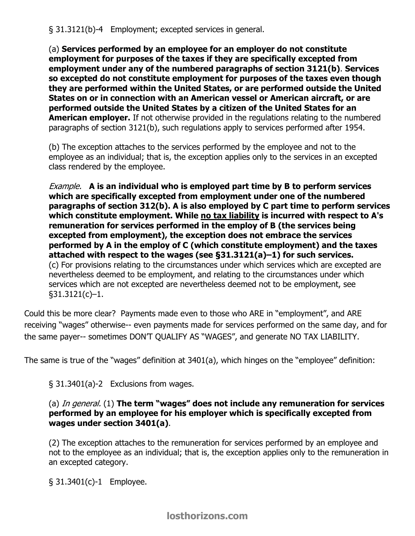§ 31.3121(b)-4 Employment; excepted services in general.

(a) Services performed by an employee for an employer do not constitute employment for purposes of the taxes if they are specifically excepted from employment under any of the numbered paragraphs of section 3121(b). Services so excepted do not constitute employment for purposes of the taxes even though they are performed within the United States, or are performed outside the United States on or in connection with an American vessel or American aircraft, or are performed outside the United States by a citizen of the United States for an **American employer.** If not otherwise provided in the regulations relating to the numbered paragraphs of section 3121(b), such regulations apply to services performed after 1954.

(b) The exception attaches to the services performed by the employee and not to the employee as an individual; that is, the exception applies only to the services in an excepted class rendered by the employee.

Example. A is an individual who is employed part time by B to perform services which are specifically excepted from employment under one of the numbered paragraphs of section 312(b). A is also employed by C part time to perform services which constitute employment. While no tax liability is incurred with respect to A's remuneration for services performed in the employ of B (the services being excepted from employment), the exception does not embrace the services performed by A in the employ of C (which constitute employment) and the taxes attached with respect to the wages (see §31.3121(a)–1) for such services. (c) For provisions relating to the circumstances under which services which are excepted are nevertheless deemed to be employment, and relating to the circumstances under which services which are not excepted are nevertheless deemed not to be employment, see §31.3121(c)–1.

Could this be more clear? Payments made even to those who ARE in "employment", and ARE receiving "wages" otherwise-- even payments made for services performed on the same day, and for the same payer-- sometimes DON'T QUALIFY AS "WAGES", and generate NO TAX LIABILITY.

The same is true of the "wages" definition at 3401(a), which hinges on the "employee" definition:

§ 31.3401(a)-2 Exclusions from wages.

## (a) In general. (1) The term "wages" does not include any remuneration for services performed by an employee for his employer which is specifically excepted from wages under section 3401(a).

(2) The exception attaches to the remuneration for services performed by an employee and not to the employee as an individual; that is, the exception applies only to the remuneration in an excepted category.

§ 31.3401(c)-1 Employee.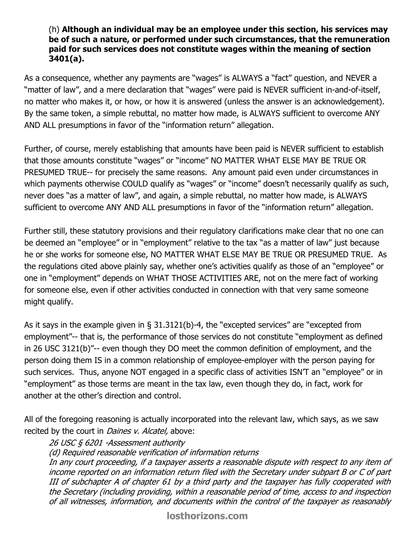## (h) Although an individual may be an employee under this section, his services may be of such a nature, or performed under such circumstances, that the remuneration paid for such services does not constitute wages within the meaning of section 3401(a).

As a consequence, whether any payments are "wages" is ALWAYS a "fact" question, and NEVER a "matter of law", and a mere declaration that "wages" were paid is NEVER sufficient in-and-of-itself, no matter who makes it, or how, or how it is answered (unless the answer is an acknowledgement). By the same token, a simple rebuttal, no matter how made, is ALWAYS sufficient to overcome ANY AND ALL presumptions in favor of the "information return" allegation.

Further, of course, merely establishing that amounts have been paid is NEVER sufficient to establish that those amounts constitute "wages" or "income" NO MATTER WHAT ELSE MAY BE TRUE OR PRESUMED TRUE-- for precisely the same reasons. Any amount paid even under circumstances in which payments otherwise COULD qualify as "wages" or "income" doesn't necessarily qualify as such, never does "as a matter of law", and again, a simple rebuttal, no matter how made, is ALWAYS sufficient to overcome ANY AND ALL presumptions in favor of the "information return" allegation.

Further still, these statutory provisions and their regulatory clarifications make clear that no one can be deemed an "employee" or in "employment" relative to the tax "as a matter of law" just because he or she works for someone else, NO MATTER WHAT ELSE MAY BE TRUE OR PRESUMED TRUE. As the regulations cited above plainly say, whether one's activities qualify as those of an "employee" or one in "employment" depends on WHAT THOSE ACTIVITIES ARE, not on the mere fact of working for someone else, even if other activities conducted in connection with that very same someone might qualify.

As it says in the example given in § 31.3121(b)-4, the "excepted services" are "excepted from employment"-- that is, the performance of those services do not constitute "employment as defined in 26 USC 3121(b)"-- even though they DO meet the common definition of employment, and the person doing them IS in a common relationship of employee-employer with the person paying for such services. Thus, anyone NOT engaged in a specific class of activities ISN'T an "employee" or in "employment" as those terms are meant in the tax law, even though they do, in fact, work for another at the other's direction and control.

All of the foregoing reasoning is actually incorporated into the relevant law, which says, as we saw recited by the court in *Daines v. Alcatel*, above:

26 USC § 6201 -Assessment authority (d) Required reasonable verification of information returns In any court proceeding, if a taxpayer asserts a reasonable dispute with respect to any item of income reported on an information return filed with the Secretary under subpart B or C of part III of subchapter A of chapter 61 by a third party and the taxpayer has fully cooperated with the Secretary (including providing, within a reasonable period of time, access to and inspection of all witnesses, information, and documents within the control of the taxpayer as reasonably

[losthorizons.com](http://losthorizons.com/index.html)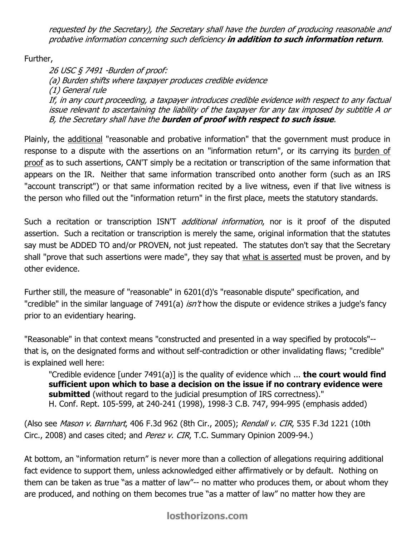requested by the Secretary), the Secretary shall have the burden of producing reasonable and probative information concerning such deficiency in addition to such information return.

Further,

26 USC § 7491 -Burden of proof: (a) Burden shifts where taxpayer produces credible evidence (1) General rule If, in any court proceeding, a taxpayer introduces credible evidence with respect to any factual issue relevant to ascertaining the liability of the taxpayer for any tax imposed by subtitle A or B, the Secretary shall have the **burden of proof with respect to such issue**.

Plainly, the additional "reasonable and probative information" that the government must produce in response to a dispute with the assertions on an "information return", or its carrying its burden of proof as to such assertions, CAN'T simply be a recitation or transcription of the same information that appears on the IR. Neither that same information transcribed onto another form (such as an IRS "account transcript") or that same information recited by a live witness, even if that live witness is the person who filled out the "information return" in the first place, meets the statutory standards.

Such a recitation or transcription ISN'T *additional information*, nor is it proof of the disputed assertion. Such a recitation or transcription is merely the same, original information that the statutes say must be ADDED TO and/or PROVEN, not just repeated. The statutes don't say that the Secretary shall "prove that such assertions were made", they say that what is asserted must be proven, and by other evidence.

Further still, the measure of "reasonable" in 6201(d)'s "reasonable dispute" specification, and "credible" in the similar language of 7491(a) *isn't* how the dispute or evidence strikes a judge's fancy prior to an evidentiary hearing.

"Reasonable" in that context means "constructed and presented in a way specified by protocols"- that is, on the designated forms and without self-contradiction or other invalidating flaws; "credible" is explained well here:

"Credible evidence  $[$ under 7491(a) $]$  is the quality of evidence which ... **the court would find** sufficient upon which to base a decision on the issue if no contrary evidence were submitted (without regard to the judicial presumption of IRS correctness)." H. Conf. Rept. 105-599, at 240-241 (1998), 1998-3 C.B. 747, 994-995 (emphasis added)

(Also see *Mason v. Barnhart*, 406 F.3d 962 (8th Cir., 2005); Rendall v. CIR, 535 F.3d 1221 (10th Circ., 2008) and cases cited; and Perez v. CIR, T.C. Summary Opinion 2009-94.)

At bottom, an "information return" is never more than a collection of allegations requiring additional fact evidence to support them, unless acknowledged either affirmatively or by default. Nothing on them can be taken as true "as a matter of law"-- no matter who produces them, or about whom they are produced, and nothing on them becomes true "as a matter of law" no matter how they are